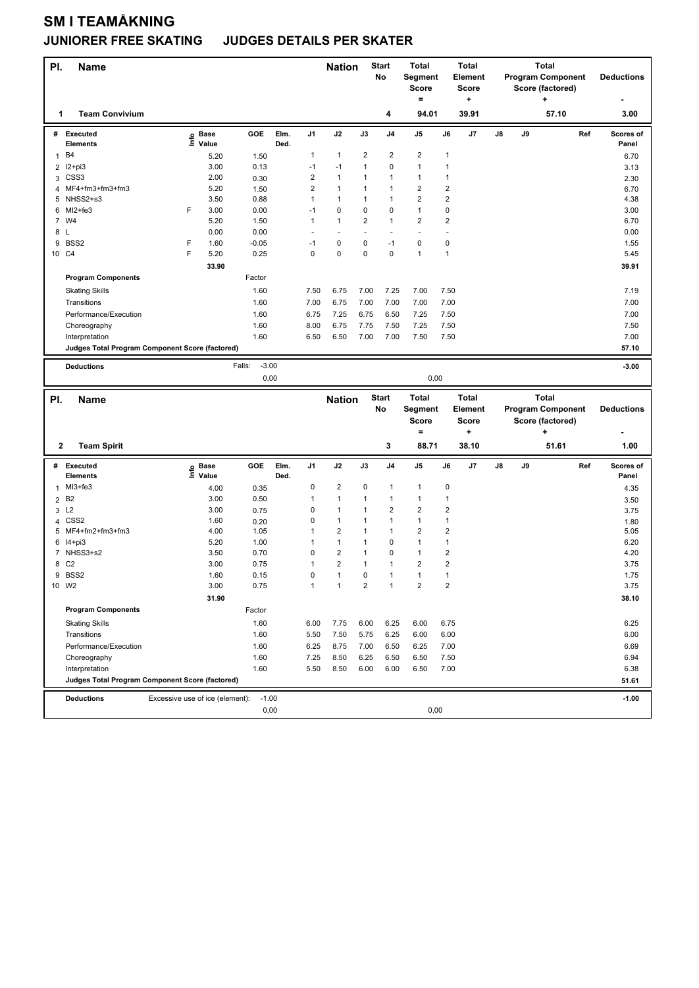## **SM I TEAMÅKNING**

## **JUNIORER FREE SKATING JUDGES DETAILS PER SKATER**

| <b>Team Convivium</b><br>94.01<br>39.91<br>57.10<br>3.00<br>4<br>1<br>Ref<br>GOE<br>Elm.<br>J <sub>1</sub><br>J2<br>J3<br>J <sub>4</sub><br>J6<br>J7<br>J8<br># Executed<br><b>Base</b><br>J5<br>J9<br>Scores of<br>e Base<br>⊑ Value<br>Ded.<br><b>Elements</b><br>Panel<br>2<br>$\overline{\mathbf{c}}$<br>$\overline{\mathbf{c}}$<br>B4<br>1<br>$\mathbf{1}$<br>1<br>5.20<br>1.50<br>$\mathbf{1}$<br>6.70<br>3.00<br>1<br>0<br>$\mathbf{1}$<br>$\mathbf{1}$<br>I2+pi3<br>0.13<br>$-1$<br>$-1$<br>2<br>3.13<br>$\overline{\mathbf{c}}$<br>CSS <sub>3</sub><br>2.00<br>$\mathbf{1}$<br>$\mathbf{1}$<br>$\mathbf{1}$<br>$\mathbf{1}$<br>1<br>3<br>0.30<br>2.30<br>$\overline{\mathbf{c}}$<br>$\overline{2}$<br>$\mathbf 2$<br>$\mathbf{1}$<br>MF4+fm3+fm3+fm3<br>5.20<br>$\mathbf{1}$<br>1<br>1.50<br>6.70<br>4<br>$\overline{2}$<br>$\overline{2}$<br>NHSS2+s3<br>3.50<br>$\mathbf{1}$<br>$\mathbf{1}$<br>0.88<br>$\mathbf{1}$<br>1<br>4.38<br>5<br>$\mathbf{1}$<br>$\pmb{0}$<br>F<br>3.00<br>0<br>$\mathbf 0$<br>6 MI2+fe3<br>0.00<br>$-1$<br>0<br>3.00<br>7 W4<br>5.20<br>$\mathbf{1}$<br>2<br>$\mathbf{1}$<br>$\overline{\mathbf{c}}$<br>$\overline{2}$<br>1.50<br>1<br>6.70<br>0.00<br>0.00<br>8 L<br>0.00<br>$\overline{a}$<br>÷,<br>÷,<br>$\blacksquare$<br>BSS2<br>F<br>1.60<br>0<br>0<br>$\mathbf 0$<br>$\mathbf 0$<br>9<br>$-0.05$<br>$-1$<br>1.55<br>$-1$<br>F<br>0<br>$\mathbf{1}$<br>5.20<br>0.25<br>0<br>0<br>$\mathbf 0$<br>$\mathbf{1}$<br>10 C4<br>5.45<br>33.90<br>39.91<br><b>Program Components</b><br>Factor<br><b>Skating Skills</b><br>1.60<br>7.50<br>6.75<br>7.00<br>7.25<br>7.00<br>7.50<br>7.19<br>6.75<br>7.00<br>7.00<br>7.00<br>Transitions<br>1.60<br>7.00<br>7.00<br>7.00<br>7.25<br>7.00<br>Performance/Execution<br>1.60<br>6.75<br>6.75<br>6.50<br>7.25<br>7.50<br>7.25<br>7.50<br>1.60<br>8.00<br>6.75<br>7.75<br>7.50<br>7.50<br>Choreography<br>7.00<br>1.60<br>6.50<br>6.50<br>7.00<br>7.00<br>7.50<br>7.50<br>Interpretation<br>57.10<br>Judges Total Program Component Score (factored)<br>$-3.00$<br>Falls:<br>$-3.00$<br><b>Deductions</b><br>0,00<br>0,00<br><b>Start</b><br><b>Total</b><br><b>Total</b><br>Total<br>PI.<br><b>Nation</b><br><b>Name</b><br>No<br><b>Program Component</b><br>Segment<br>Element<br><b>Deductions</b><br><b>Score</b><br><b>Score</b><br>Score (factored)<br>$=$<br>÷<br>٠<br>3<br>38.10<br>51.61<br>$\mathbf{2}$<br><b>Team Spirit</b><br>88.71<br>1.00<br># Executed<br>GOE<br>Elm.<br>J1<br>J2<br>J3<br>J <sub>4</sub><br>J5<br>J6<br>J7<br>J8<br>J9<br>Ref<br>Scores of<br>ු Base<br>⊆ Value<br><b>Elements</b><br>Ded.<br>Panel<br>0<br>$\overline{\mathbf{c}}$<br>0<br>$1$ MI3+fe3<br>$\mathbf{1}$<br>$\mathbf{1}$<br>0<br>4.00<br>0.35<br>4.35<br>2 B <sub>2</sub><br>3.00<br>1<br>$\mathbf{1}$<br>$\mathbf{1}$<br>$\mathbf{1}$<br>0.50<br>1<br>1<br>3.50<br>$\overline{2}$<br>$\overline{2}$<br>$\mathbf 2$<br>0<br>L2<br>3.00<br>1<br>1<br>3<br>0.75<br>3.75<br>4 CSS2<br>0<br>1<br>$\mathbf{1}$<br>$\mathbf{1}$<br>$\mathbf{1}$<br>1.60<br>1<br>0.20<br>1.80<br>$\overline{2}$<br>MF4+fm2+fm3+fm3<br>$\mathbf{1}$<br>$\overline{2}$<br>1<br>$\mathbf{1}$<br>$\overline{2}$<br>4.00<br>1.05<br>5.05<br>5<br>5.20<br>$\mathbf{1}$<br>1<br>$\mathbf 0$<br>$\mathbf{1}$<br>$\mathbf{1}$<br>6 14+pi3<br>1.00<br>1<br>6.20<br>$\overline{\mathbf{c}}$<br>$\mathbf 2$<br>7 NHSS3+s2<br>0<br>1<br>0<br>$\mathbf{1}$<br>3.50<br>0.70<br>4.20<br>$\mathbf 2$<br>8 C <sub>2</sub><br>2<br>$\overline{\mathbf{c}}$<br>3.00<br>0.75<br>1<br>1<br>1<br>3.75<br>9 BSS2<br>1.60<br>0<br>1<br>0<br>$\mathbf{1}$<br>$\mathbf{1}$<br>$\mathbf{1}$<br>0.15<br>1.75<br>$\overline{\mathbf{c}}$<br>3.00<br>$\mathbf{1}$<br>$\mathbf{1}$<br>$\mathbf 2$<br>$\mathbf{1}$<br>$\overline{2}$<br>3.75<br>10 W2<br>0.75<br>31.90<br>38.10<br><b>Program Components</b><br>Factor<br>1.60<br>6.00<br>7.75<br>6.00<br>6.25<br>6.00<br>6.75<br>6.25<br><b>Skating Skills</b><br>1.60<br>5.50<br>7.50<br>5.75<br>6.00<br>6.00<br>6.00<br>Transitions<br>6.25<br>Performance/Execution<br>8.75<br>7.00<br>6.69<br>1.60<br>6.25<br>7.00<br>6.50<br>6.25<br>1.60<br>8.50<br>7.50<br>6.94<br>Choreography<br>7.25<br>6.25<br>6.50<br>6.50<br>1.60<br>8.50<br>7.00<br>6.38<br>Interpretation<br>5.50<br>6.00<br>6.00<br>6.50<br>Judges Total Program Component Score (factored)<br>51.61<br>$-1.00$<br>Excessive use of ice (element):<br>$-1.00$<br><b>Deductions</b><br>0,00<br>0,00 | PI. | <b>Name</b> |  |  | <b>Nation</b> | <b>Start</b><br>No | <b>Total</b><br>Segment<br>Score<br>$=$ | <b>Total</b><br>Element<br><b>Score</b><br>÷ |  | <b>Total</b><br>Score (factored)<br>٠ | <b>Program Component</b> | <b>Deductions</b> |
|------------------------------------------------------------------------------------------------------------------------------------------------------------------------------------------------------------------------------------------------------------------------------------------------------------------------------------------------------------------------------------------------------------------------------------------------------------------------------------------------------------------------------------------------------------------------------------------------------------------------------------------------------------------------------------------------------------------------------------------------------------------------------------------------------------------------------------------------------------------------------------------------------------------------------------------------------------------------------------------------------------------------------------------------------------------------------------------------------------------------------------------------------------------------------------------------------------------------------------------------------------------------------------------------------------------------------------------------------------------------------------------------------------------------------------------------------------------------------------------------------------------------------------------------------------------------------------------------------------------------------------------------------------------------------------------------------------------------------------------------------------------------------------------------------------------------------------------------------------------------------------------------------------------------------------------------------------------------------------------------------------------------------------------------------------------------------------------------------------------------------------------------------------------------------------------------------------------------------------------------------------------------------------------------------------------------------------------------------------------------------------------------------------------------------------------------------------------------------------------------------------------------------------------------------------------------------------------------------------------------------------------------------------------------------------------------------------------------------------------------------------------------------------------------------------------------------------------------------------------------------------------------------------------------------------------------------------------------------------------------------------------------------------------------------------------------------------------------------------------------------------------------------------------------------------------------------------------------------------------------------------------------------------------------------------------------------------------------------------------------------------------------------------------------------------------------------------------------------------------------------------------------------------------------------------------------------------------------------------------------------------------------------------------------------------------------------------------------------------------------------------------------------------------------------------------------------------------------------------------------------------------------------------------------------------------------------------------------------------------------------------------------------------------------------------------------------------------------------------------------------------------------------------------------------------------------------------------------------------------------------------------------------------------------------------------------------------------------------------------------------------------------------------------------------------------|-----|-------------|--|--|---------------|--------------------|-----------------------------------------|----------------------------------------------|--|---------------------------------------|--------------------------|-------------------|
|                                                                                                                                                                                                                                                                                                                                                                                                                                                                                                                                                                                                                                                                                                                                                                                                                                                                                                                                                                                                                                                                                                                                                                                                                                                                                                                                                                                                                                                                                                                                                                                                                                                                                                                                                                                                                                                                                                                                                                                                                                                                                                                                                                                                                                                                                                                                                                                                                                                                                                                                                                                                                                                                                                                                                                                                                                                                                                                                                                                                                                                                                                                                                                                                                                                                                                                                                                                                                                                                                                                                                                                                                                                                                                                                                                                                                                                                                                                                                                                                                                                                                                                                                                                                                                                                                                                                                                                                                                          |     |             |  |  |               |                    |                                         |                                              |  |                                       |                          |                   |
|                                                                                                                                                                                                                                                                                                                                                                                                                                                                                                                                                                                                                                                                                                                                                                                                                                                                                                                                                                                                                                                                                                                                                                                                                                                                                                                                                                                                                                                                                                                                                                                                                                                                                                                                                                                                                                                                                                                                                                                                                                                                                                                                                                                                                                                                                                                                                                                                                                                                                                                                                                                                                                                                                                                                                                                                                                                                                                                                                                                                                                                                                                                                                                                                                                                                                                                                                                                                                                                                                                                                                                                                                                                                                                                                                                                                                                                                                                                                                                                                                                                                                                                                                                                                                                                                                                                                                                                                                                          |     |             |  |  |               |                    |                                         |                                              |  |                                       |                          |                   |
|                                                                                                                                                                                                                                                                                                                                                                                                                                                                                                                                                                                                                                                                                                                                                                                                                                                                                                                                                                                                                                                                                                                                                                                                                                                                                                                                                                                                                                                                                                                                                                                                                                                                                                                                                                                                                                                                                                                                                                                                                                                                                                                                                                                                                                                                                                                                                                                                                                                                                                                                                                                                                                                                                                                                                                                                                                                                                                                                                                                                                                                                                                                                                                                                                                                                                                                                                                                                                                                                                                                                                                                                                                                                                                                                                                                                                                                                                                                                                                                                                                                                                                                                                                                                                                                                                                                                                                                                                                          |     |             |  |  |               |                    |                                         |                                              |  |                                       |                          |                   |
|                                                                                                                                                                                                                                                                                                                                                                                                                                                                                                                                                                                                                                                                                                                                                                                                                                                                                                                                                                                                                                                                                                                                                                                                                                                                                                                                                                                                                                                                                                                                                                                                                                                                                                                                                                                                                                                                                                                                                                                                                                                                                                                                                                                                                                                                                                                                                                                                                                                                                                                                                                                                                                                                                                                                                                                                                                                                                                                                                                                                                                                                                                                                                                                                                                                                                                                                                                                                                                                                                                                                                                                                                                                                                                                                                                                                                                                                                                                                                                                                                                                                                                                                                                                                                                                                                                                                                                                                                                          |     |             |  |  |               |                    |                                         |                                              |  |                                       |                          |                   |
|                                                                                                                                                                                                                                                                                                                                                                                                                                                                                                                                                                                                                                                                                                                                                                                                                                                                                                                                                                                                                                                                                                                                                                                                                                                                                                                                                                                                                                                                                                                                                                                                                                                                                                                                                                                                                                                                                                                                                                                                                                                                                                                                                                                                                                                                                                                                                                                                                                                                                                                                                                                                                                                                                                                                                                                                                                                                                                                                                                                                                                                                                                                                                                                                                                                                                                                                                                                                                                                                                                                                                                                                                                                                                                                                                                                                                                                                                                                                                                                                                                                                                                                                                                                                                                                                                                                                                                                                                                          |     |             |  |  |               |                    |                                         |                                              |  |                                       |                          |                   |
|                                                                                                                                                                                                                                                                                                                                                                                                                                                                                                                                                                                                                                                                                                                                                                                                                                                                                                                                                                                                                                                                                                                                                                                                                                                                                                                                                                                                                                                                                                                                                                                                                                                                                                                                                                                                                                                                                                                                                                                                                                                                                                                                                                                                                                                                                                                                                                                                                                                                                                                                                                                                                                                                                                                                                                                                                                                                                                                                                                                                                                                                                                                                                                                                                                                                                                                                                                                                                                                                                                                                                                                                                                                                                                                                                                                                                                                                                                                                                                                                                                                                                                                                                                                                                                                                                                                                                                                                                                          |     |             |  |  |               |                    |                                         |                                              |  |                                       |                          |                   |
|                                                                                                                                                                                                                                                                                                                                                                                                                                                                                                                                                                                                                                                                                                                                                                                                                                                                                                                                                                                                                                                                                                                                                                                                                                                                                                                                                                                                                                                                                                                                                                                                                                                                                                                                                                                                                                                                                                                                                                                                                                                                                                                                                                                                                                                                                                                                                                                                                                                                                                                                                                                                                                                                                                                                                                                                                                                                                                                                                                                                                                                                                                                                                                                                                                                                                                                                                                                                                                                                                                                                                                                                                                                                                                                                                                                                                                                                                                                                                                                                                                                                                                                                                                                                                                                                                                                                                                                                                                          |     |             |  |  |               |                    |                                         |                                              |  |                                       |                          |                   |
|                                                                                                                                                                                                                                                                                                                                                                                                                                                                                                                                                                                                                                                                                                                                                                                                                                                                                                                                                                                                                                                                                                                                                                                                                                                                                                                                                                                                                                                                                                                                                                                                                                                                                                                                                                                                                                                                                                                                                                                                                                                                                                                                                                                                                                                                                                                                                                                                                                                                                                                                                                                                                                                                                                                                                                                                                                                                                                                                                                                                                                                                                                                                                                                                                                                                                                                                                                                                                                                                                                                                                                                                                                                                                                                                                                                                                                                                                                                                                                                                                                                                                                                                                                                                                                                                                                                                                                                                                                          |     |             |  |  |               |                    |                                         |                                              |  |                                       |                          |                   |
|                                                                                                                                                                                                                                                                                                                                                                                                                                                                                                                                                                                                                                                                                                                                                                                                                                                                                                                                                                                                                                                                                                                                                                                                                                                                                                                                                                                                                                                                                                                                                                                                                                                                                                                                                                                                                                                                                                                                                                                                                                                                                                                                                                                                                                                                                                                                                                                                                                                                                                                                                                                                                                                                                                                                                                                                                                                                                                                                                                                                                                                                                                                                                                                                                                                                                                                                                                                                                                                                                                                                                                                                                                                                                                                                                                                                                                                                                                                                                                                                                                                                                                                                                                                                                                                                                                                                                                                                                                          |     |             |  |  |               |                    |                                         |                                              |  |                                       |                          |                   |
|                                                                                                                                                                                                                                                                                                                                                                                                                                                                                                                                                                                                                                                                                                                                                                                                                                                                                                                                                                                                                                                                                                                                                                                                                                                                                                                                                                                                                                                                                                                                                                                                                                                                                                                                                                                                                                                                                                                                                                                                                                                                                                                                                                                                                                                                                                                                                                                                                                                                                                                                                                                                                                                                                                                                                                                                                                                                                                                                                                                                                                                                                                                                                                                                                                                                                                                                                                                                                                                                                                                                                                                                                                                                                                                                                                                                                                                                                                                                                                                                                                                                                                                                                                                                                                                                                                                                                                                                                                          |     |             |  |  |               |                    |                                         |                                              |  |                                       |                          |                   |
|                                                                                                                                                                                                                                                                                                                                                                                                                                                                                                                                                                                                                                                                                                                                                                                                                                                                                                                                                                                                                                                                                                                                                                                                                                                                                                                                                                                                                                                                                                                                                                                                                                                                                                                                                                                                                                                                                                                                                                                                                                                                                                                                                                                                                                                                                                                                                                                                                                                                                                                                                                                                                                                                                                                                                                                                                                                                                                                                                                                                                                                                                                                                                                                                                                                                                                                                                                                                                                                                                                                                                                                                                                                                                                                                                                                                                                                                                                                                                                                                                                                                                                                                                                                                                                                                                                                                                                                                                                          |     |             |  |  |               |                    |                                         |                                              |  |                                       |                          |                   |
|                                                                                                                                                                                                                                                                                                                                                                                                                                                                                                                                                                                                                                                                                                                                                                                                                                                                                                                                                                                                                                                                                                                                                                                                                                                                                                                                                                                                                                                                                                                                                                                                                                                                                                                                                                                                                                                                                                                                                                                                                                                                                                                                                                                                                                                                                                                                                                                                                                                                                                                                                                                                                                                                                                                                                                                                                                                                                                                                                                                                                                                                                                                                                                                                                                                                                                                                                                                                                                                                                                                                                                                                                                                                                                                                                                                                                                                                                                                                                                                                                                                                                                                                                                                                                                                                                                                                                                                                                                          |     |             |  |  |               |                    |                                         |                                              |  |                                       |                          |                   |
|                                                                                                                                                                                                                                                                                                                                                                                                                                                                                                                                                                                                                                                                                                                                                                                                                                                                                                                                                                                                                                                                                                                                                                                                                                                                                                                                                                                                                                                                                                                                                                                                                                                                                                                                                                                                                                                                                                                                                                                                                                                                                                                                                                                                                                                                                                                                                                                                                                                                                                                                                                                                                                                                                                                                                                                                                                                                                                                                                                                                                                                                                                                                                                                                                                                                                                                                                                                                                                                                                                                                                                                                                                                                                                                                                                                                                                                                                                                                                                                                                                                                                                                                                                                                                                                                                                                                                                                                                                          |     |             |  |  |               |                    |                                         |                                              |  |                                       |                          |                   |
|                                                                                                                                                                                                                                                                                                                                                                                                                                                                                                                                                                                                                                                                                                                                                                                                                                                                                                                                                                                                                                                                                                                                                                                                                                                                                                                                                                                                                                                                                                                                                                                                                                                                                                                                                                                                                                                                                                                                                                                                                                                                                                                                                                                                                                                                                                                                                                                                                                                                                                                                                                                                                                                                                                                                                                                                                                                                                                                                                                                                                                                                                                                                                                                                                                                                                                                                                                                                                                                                                                                                                                                                                                                                                                                                                                                                                                                                                                                                                                                                                                                                                                                                                                                                                                                                                                                                                                                                                                          |     |             |  |  |               |                    |                                         |                                              |  |                                       |                          |                   |
|                                                                                                                                                                                                                                                                                                                                                                                                                                                                                                                                                                                                                                                                                                                                                                                                                                                                                                                                                                                                                                                                                                                                                                                                                                                                                                                                                                                                                                                                                                                                                                                                                                                                                                                                                                                                                                                                                                                                                                                                                                                                                                                                                                                                                                                                                                                                                                                                                                                                                                                                                                                                                                                                                                                                                                                                                                                                                                                                                                                                                                                                                                                                                                                                                                                                                                                                                                                                                                                                                                                                                                                                                                                                                                                                                                                                                                                                                                                                                                                                                                                                                                                                                                                                                                                                                                                                                                                                                                          |     |             |  |  |               |                    |                                         |                                              |  |                                       |                          |                   |
|                                                                                                                                                                                                                                                                                                                                                                                                                                                                                                                                                                                                                                                                                                                                                                                                                                                                                                                                                                                                                                                                                                                                                                                                                                                                                                                                                                                                                                                                                                                                                                                                                                                                                                                                                                                                                                                                                                                                                                                                                                                                                                                                                                                                                                                                                                                                                                                                                                                                                                                                                                                                                                                                                                                                                                                                                                                                                                                                                                                                                                                                                                                                                                                                                                                                                                                                                                                                                                                                                                                                                                                                                                                                                                                                                                                                                                                                                                                                                                                                                                                                                                                                                                                                                                                                                                                                                                                                                                          |     |             |  |  |               |                    |                                         |                                              |  |                                       |                          |                   |
|                                                                                                                                                                                                                                                                                                                                                                                                                                                                                                                                                                                                                                                                                                                                                                                                                                                                                                                                                                                                                                                                                                                                                                                                                                                                                                                                                                                                                                                                                                                                                                                                                                                                                                                                                                                                                                                                                                                                                                                                                                                                                                                                                                                                                                                                                                                                                                                                                                                                                                                                                                                                                                                                                                                                                                                                                                                                                                                                                                                                                                                                                                                                                                                                                                                                                                                                                                                                                                                                                                                                                                                                                                                                                                                                                                                                                                                                                                                                                                                                                                                                                                                                                                                                                                                                                                                                                                                                                                          |     |             |  |  |               |                    |                                         |                                              |  |                                       |                          |                   |
|                                                                                                                                                                                                                                                                                                                                                                                                                                                                                                                                                                                                                                                                                                                                                                                                                                                                                                                                                                                                                                                                                                                                                                                                                                                                                                                                                                                                                                                                                                                                                                                                                                                                                                                                                                                                                                                                                                                                                                                                                                                                                                                                                                                                                                                                                                                                                                                                                                                                                                                                                                                                                                                                                                                                                                                                                                                                                                                                                                                                                                                                                                                                                                                                                                                                                                                                                                                                                                                                                                                                                                                                                                                                                                                                                                                                                                                                                                                                                                                                                                                                                                                                                                                                                                                                                                                                                                                                                                          |     |             |  |  |               |                    |                                         |                                              |  |                                       |                          |                   |
|                                                                                                                                                                                                                                                                                                                                                                                                                                                                                                                                                                                                                                                                                                                                                                                                                                                                                                                                                                                                                                                                                                                                                                                                                                                                                                                                                                                                                                                                                                                                                                                                                                                                                                                                                                                                                                                                                                                                                                                                                                                                                                                                                                                                                                                                                                                                                                                                                                                                                                                                                                                                                                                                                                                                                                                                                                                                                                                                                                                                                                                                                                                                                                                                                                                                                                                                                                                                                                                                                                                                                                                                                                                                                                                                                                                                                                                                                                                                                                                                                                                                                                                                                                                                                                                                                                                                                                                                                                          |     |             |  |  |               |                    |                                         |                                              |  |                                       |                          |                   |
|                                                                                                                                                                                                                                                                                                                                                                                                                                                                                                                                                                                                                                                                                                                                                                                                                                                                                                                                                                                                                                                                                                                                                                                                                                                                                                                                                                                                                                                                                                                                                                                                                                                                                                                                                                                                                                                                                                                                                                                                                                                                                                                                                                                                                                                                                                                                                                                                                                                                                                                                                                                                                                                                                                                                                                                                                                                                                                                                                                                                                                                                                                                                                                                                                                                                                                                                                                                                                                                                                                                                                                                                                                                                                                                                                                                                                                                                                                                                                                                                                                                                                                                                                                                                                                                                                                                                                                                                                                          |     |             |  |  |               |                    |                                         |                                              |  |                                       |                          |                   |
|                                                                                                                                                                                                                                                                                                                                                                                                                                                                                                                                                                                                                                                                                                                                                                                                                                                                                                                                                                                                                                                                                                                                                                                                                                                                                                                                                                                                                                                                                                                                                                                                                                                                                                                                                                                                                                                                                                                                                                                                                                                                                                                                                                                                                                                                                                                                                                                                                                                                                                                                                                                                                                                                                                                                                                                                                                                                                                                                                                                                                                                                                                                                                                                                                                                                                                                                                                                                                                                                                                                                                                                                                                                                                                                                                                                                                                                                                                                                                                                                                                                                                                                                                                                                                                                                                                                                                                                                                                          |     |             |  |  |               |                    |                                         |                                              |  |                                       |                          |                   |
|                                                                                                                                                                                                                                                                                                                                                                                                                                                                                                                                                                                                                                                                                                                                                                                                                                                                                                                                                                                                                                                                                                                                                                                                                                                                                                                                                                                                                                                                                                                                                                                                                                                                                                                                                                                                                                                                                                                                                                                                                                                                                                                                                                                                                                                                                                                                                                                                                                                                                                                                                                                                                                                                                                                                                                                                                                                                                                                                                                                                                                                                                                                                                                                                                                                                                                                                                                                                                                                                                                                                                                                                                                                                                                                                                                                                                                                                                                                                                                                                                                                                                                                                                                                                                                                                                                                                                                                                                                          |     |             |  |  |               |                    |                                         |                                              |  |                                       |                          |                   |
|                                                                                                                                                                                                                                                                                                                                                                                                                                                                                                                                                                                                                                                                                                                                                                                                                                                                                                                                                                                                                                                                                                                                                                                                                                                                                                                                                                                                                                                                                                                                                                                                                                                                                                                                                                                                                                                                                                                                                                                                                                                                                                                                                                                                                                                                                                                                                                                                                                                                                                                                                                                                                                                                                                                                                                                                                                                                                                                                                                                                                                                                                                                                                                                                                                                                                                                                                                                                                                                                                                                                                                                                                                                                                                                                                                                                                                                                                                                                                                                                                                                                                                                                                                                                                                                                                                                                                                                                                                          |     |             |  |  |               |                    |                                         |                                              |  |                                       |                          |                   |
|                                                                                                                                                                                                                                                                                                                                                                                                                                                                                                                                                                                                                                                                                                                                                                                                                                                                                                                                                                                                                                                                                                                                                                                                                                                                                                                                                                                                                                                                                                                                                                                                                                                                                                                                                                                                                                                                                                                                                                                                                                                                                                                                                                                                                                                                                                                                                                                                                                                                                                                                                                                                                                                                                                                                                                                                                                                                                                                                                                                                                                                                                                                                                                                                                                                                                                                                                                                                                                                                                                                                                                                                                                                                                                                                                                                                                                                                                                                                                                                                                                                                                                                                                                                                                                                                                                                                                                                                                                          |     |             |  |  |               |                    |                                         |                                              |  |                                       |                          |                   |
|                                                                                                                                                                                                                                                                                                                                                                                                                                                                                                                                                                                                                                                                                                                                                                                                                                                                                                                                                                                                                                                                                                                                                                                                                                                                                                                                                                                                                                                                                                                                                                                                                                                                                                                                                                                                                                                                                                                                                                                                                                                                                                                                                                                                                                                                                                                                                                                                                                                                                                                                                                                                                                                                                                                                                                                                                                                                                                                                                                                                                                                                                                                                                                                                                                                                                                                                                                                                                                                                                                                                                                                                                                                                                                                                                                                                                                                                                                                                                                                                                                                                                                                                                                                                                                                                                                                                                                                                                                          |     |             |  |  |               |                    |                                         |                                              |  |                                       |                          |                   |
|                                                                                                                                                                                                                                                                                                                                                                                                                                                                                                                                                                                                                                                                                                                                                                                                                                                                                                                                                                                                                                                                                                                                                                                                                                                                                                                                                                                                                                                                                                                                                                                                                                                                                                                                                                                                                                                                                                                                                                                                                                                                                                                                                                                                                                                                                                                                                                                                                                                                                                                                                                                                                                                                                                                                                                                                                                                                                                                                                                                                                                                                                                                                                                                                                                                                                                                                                                                                                                                                                                                                                                                                                                                                                                                                                                                                                                                                                                                                                                                                                                                                                                                                                                                                                                                                                                                                                                                                                                          |     |             |  |  |               |                    |                                         |                                              |  |                                       |                          |                   |
|                                                                                                                                                                                                                                                                                                                                                                                                                                                                                                                                                                                                                                                                                                                                                                                                                                                                                                                                                                                                                                                                                                                                                                                                                                                                                                                                                                                                                                                                                                                                                                                                                                                                                                                                                                                                                                                                                                                                                                                                                                                                                                                                                                                                                                                                                                                                                                                                                                                                                                                                                                                                                                                                                                                                                                                                                                                                                                                                                                                                                                                                                                                                                                                                                                                                                                                                                                                                                                                                                                                                                                                                                                                                                                                                                                                                                                                                                                                                                                                                                                                                                                                                                                                                                                                                                                                                                                                                                                          |     |             |  |  |               |                    |                                         |                                              |  |                                       |                          |                   |
|                                                                                                                                                                                                                                                                                                                                                                                                                                                                                                                                                                                                                                                                                                                                                                                                                                                                                                                                                                                                                                                                                                                                                                                                                                                                                                                                                                                                                                                                                                                                                                                                                                                                                                                                                                                                                                                                                                                                                                                                                                                                                                                                                                                                                                                                                                                                                                                                                                                                                                                                                                                                                                                                                                                                                                                                                                                                                                                                                                                                                                                                                                                                                                                                                                                                                                                                                                                                                                                                                                                                                                                                                                                                                                                                                                                                                                                                                                                                                                                                                                                                                                                                                                                                                                                                                                                                                                                                                                          |     |             |  |  |               |                    |                                         |                                              |  |                                       |                          |                   |
|                                                                                                                                                                                                                                                                                                                                                                                                                                                                                                                                                                                                                                                                                                                                                                                                                                                                                                                                                                                                                                                                                                                                                                                                                                                                                                                                                                                                                                                                                                                                                                                                                                                                                                                                                                                                                                                                                                                                                                                                                                                                                                                                                                                                                                                                                                                                                                                                                                                                                                                                                                                                                                                                                                                                                                                                                                                                                                                                                                                                                                                                                                                                                                                                                                                                                                                                                                                                                                                                                                                                                                                                                                                                                                                                                                                                                                                                                                                                                                                                                                                                                                                                                                                                                                                                                                                                                                                                                                          |     |             |  |  |               |                    |                                         |                                              |  |                                       |                          |                   |
|                                                                                                                                                                                                                                                                                                                                                                                                                                                                                                                                                                                                                                                                                                                                                                                                                                                                                                                                                                                                                                                                                                                                                                                                                                                                                                                                                                                                                                                                                                                                                                                                                                                                                                                                                                                                                                                                                                                                                                                                                                                                                                                                                                                                                                                                                                                                                                                                                                                                                                                                                                                                                                                                                                                                                                                                                                                                                                                                                                                                                                                                                                                                                                                                                                                                                                                                                                                                                                                                                                                                                                                                                                                                                                                                                                                                                                                                                                                                                                                                                                                                                                                                                                                                                                                                                                                                                                                                                                          |     |             |  |  |               |                    |                                         |                                              |  |                                       |                          |                   |
|                                                                                                                                                                                                                                                                                                                                                                                                                                                                                                                                                                                                                                                                                                                                                                                                                                                                                                                                                                                                                                                                                                                                                                                                                                                                                                                                                                                                                                                                                                                                                                                                                                                                                                                                                                                                                                                                                                                                                                                                                                                                                                                                                                                                                                                                                                                                                                                                                                                                                                                                                                                                                                                                                                                                                                                                                                                                                                                                                                                                                                                                                                                                                                                                                                                                                                                                                                                                                                                                                                                                                                                                                                                                                                                                                                                                                                                                                                                                                                                                                                                                                                                                                                                                                                                                                                                                                                                                                                          |     |             |  |  |               |                    |                                         |                                              |  |                                       |                          |                   |
|                                                                                                                                                                                                                                                                                                                                                                                                                                                                                                                                                                                                                                                                                                                                                                                                                                                                                                                                                                                                                                                                                                                                                                                                                                                                                                                                                                                                                                                                                                                                                                                                                                                                                                                                                                                                                                                                                                                                                                                                                                                                                                                                                                                                                                                                                                                                                                                                                                                                                                                                                                                                                                                                                                                                                                                                                                                                                                                                                                                                                                                                                                                                                                                                                                                                                                                                                                                                                                                                                                                                                                                                                                                                                                                                                                                                                                                                                                                                                                                                                                                                                                                                                                                                                                                                                                                                                                                                                                          |     |             |  |  |               |                    |                                         |                                              |  |                                       |                          |                   |
|                                                                                                                                                                                                                                                                                                                                                                                                                                                                                                                                                                                                                                                                                                                                                                                                                                                                                                                                                                                                                                                                                                                                                                                                                                                                                                                                                                                                                                                                                                                                                                                                                                                                                                                                                                                                                                                                                                                                                                                                                                                                                                                                                                                                                                                                                                                                                                                                                                                                                                                                                                                                                                                                                                                                                                                                                                                                                                                                                                                                                                                                                                                                                                                                                                                                                                                                                                                                                                                                                                                                                                                                                                                                                                                                                                                                                                                                                                                                                                                                                                                                                                                                                                                                                                                                                                                                                                                                                                          |     |             |  |  |               |                    |                                         |                                              |  |                                       |                          |                   |
|                                                                                                                                                                                                                                                                                                                                                                                                                                                                                                                                                                                                                                                                                                                                                                                                                                                                                                                                                                                                                                                                                                                                                                                                                                                                                                                                                                                                                                                                                                                                                                                                                                                                                                                                                                                                                                                                                                                                                                                                                                                                                                                                                                                                                                                                                                                                                                                                                                                                                                                                                                                                                                                                                                                                                                                                                                                                                                                                                                                                                                                                                                                                                                                                                                                                                                                                                                                                                                                                                                                                                                                                                                                                                                                                                                                                                                                                                                                                                                                                                                                                                                                                                                                                                                                                                                                                                                                                                                          |     |             |  |  |               |                    |                                         |                                              |  |                                       |                          |                   |
|                                                                                                                                                                                                                                                                                                                                                                                                                                                                                                                                                                                                                                                                                                                                                                                                                                                                                                                                                                                                                                                                                                                                                                                                                                                                                                                                                                                                                                                                                                                                                                                                                                                                                                                                                                                                                                                                                                                                                                                                                                                                                                                                                                                                                                                                                                                                                                                                                                                                                                                                                                                                                                                                                                                                                                                                                                                                                                                                                                                                                                                                                                                                                                                                                                                                                                                                                                                                                                                                                                                                                                                                                                                                                                                                                                                                                                                                                                                                                                                                                                                                                                                                                                                                                                                                                                                                                                                                                                          |     |             |  |  |               |                    |                                         |                                              |  |                                       |                          |                   |
|                                                                                                                                                                                                                                                                                                                                                                                                                                                                                                                                                                                                                                                                                                                                                                                                                                                                                                                                                                                                                                                                                                                                                                                                                                                                                                                                                                                                                                                                                                                                                                                                                                                                                                                                                                                                                                                                                                                                                                                                                                                                                                                                                                                                                                                                                                                                                                                                                                                                                                                                                                                                                                                                                                                                                                                                                                                                                                                                                                                                                                                                                                                                                                                                                                                                                                                                                                                                                                                                                                                                                                                                                                                                                                                                                                                                                                                                                                                                                                                                                                                                                                                                                                                                                                                                                                                                                                                                                                          |     |             |  |  |               |                    |                                         |                                              |  |                                       |                          |                   |
|                                                                                                                                                                                                                                                                                                                                                                                                                                                                                                                                                                                                                                                                                                                                                                                                                                                                                                                                                                                                                                                                                                                                                                                                                                                                                                                                                                                                                                                                                                                                                                                                                                                                                                                                                                                                                                                                                                                                                                                                                                                                                                                                                                                                                                                                                                                                                                                                                                                                                                                                                                                                                                                                                                                                                                                                                                                                                                                                                                                                                                                                                                                                                                                                                                                                                                                                                                                                                                                                                                                                                                                                                                                                                                                                                                                                                                                                                                                                                                                                                                                                                                                                                                                                                                                                                                                                                                                                                                          |     |             |  |  |               |                    |                                         |                                              |  |                                       |                          |                   |
|                                                                                                                                                                                                                                                                                                                                                                                                                                                                                                                                                                                                                                                                                                                                                                                                                                                                                                                                                                                                                                                                                                                                                                                                                                                                                                                                                                                                                                                                                                                                                                                                                                                                                                                                                                                                                                                                                                                                                                                                                                                                                                                                                                                                                                                                                                                                                                                                                                                                                                                                                                                                                                                                                                                                                                                                                                                                                                                                                                                                                                                                                                                                                                                                                                                                                                                                                                                                                                                                                                                                                                                                                                                                                                                                                                                                                                                                                                                                                                                                                                                                                                                                                                                                                                                                                                                                                                                                                                          |     |             |  |  |               |                    |                                         |                                              |  |                                       |                          |                   |
|                                                                                                                                                                                                                                                                                                                                                                                                                                                                                                                                                                                                                                                                                                                                                                                                                                                                                                                                                                                                                                                                                                                                                                                                                                                                                                                                                                                                                                                                                                                                                                                                                                                                                                                                                                                                                                                                                                                                                                                                                                                                                                                                                                                                                                                                                                                                                                                                                                                                                                                                                                                                                                                                                                                                                                                                                                                                                                                                                                                                                                                                                                                                                                                                                                                                                                                                                                                                                                                                                                                                                                                                                                                                                                                                                                                                                                                                                                                                                                                                                                                                                                                                                                                                                                                                                                                                                                                                                                          |     |             |  |  |               |                    |                                         |                                              |  |                                       |                          |                   |
|                                                                                                                                                                                                                                                                                                                                                                                                                                                                                                                                                                                                                                                                                                                                                                                                                                                                                                                                                                                                                                                                                                                                                                                                                                                                                                                                                                                                                                                                                                                                                                                                                                                                                                                                                                                                                                                                                                                                                                                                                                                                                                                                                                                                                                                                                                                                                                                                                                                                                                                                                                                                                                                                                                                                                                                                                                                                                                                                                                                                                                                                                                                                                                                                                                                                                                                                                                                                                                                                                                                                                                                                                                                                                                                                                                                                                                                                                                                                                                                                                                                                                                                                                                                                                                                                                                                                                                                                                                          |     |             |  |  |               |                    |                                         |                                              |  |                                       |                          |                   |
|                                                                                                                                                                                                                                                                                                                                                                                                                                                                                                                                                                                                                                                                                                                                                                                                                                                                                                                                                                                                                                                                                                                                                                                                                                                                                                                                                                                                                                                                                                                                                                                                                                                                                                                                                                                                                                                                                                                                                                                                                                                                                                                                                                                                                                                                                                                                                                                                                                                                                                                                                                                                                                                                                                                                                                                                                                                                                                                                                                                                                                                                                                                                                                                                                                                                                                                                                                                                                                                                                                                                                                                                                                                                                                                                                                                                                                                                                                                                                                                                                                                                                                                                                                                                                                                                                                                                                                                                                                          |     |             |  |  |               |                    |                                         |                                              |  |                                       |                          |                   |
|                                                                                                                                                                                                                                                                                                                                                                                                                                                                                                                                                                                                                                                                                                                                                                                                                                                                                                                                                                                                                                                                                                                                                                                                                                                                                                                                                                                                                                                                                                                                                                                                                                                                                                                                                                                                                                                                                                                                                                                                                                                                                                                                                                                                                                                                                                                                                                                                                                                                                                                                                                                                                                                                                                                                                                                                                                                                                                                                                                                                                                                                                                                                                                                                                                                                                                                                                                                                                                                                                                                                                                                                                                                                                                                                                                                                                                                                                                                                                                                                                                                                                                                                                                                                                                                                                                                                                                                                                                          |     |             |  |  |               |                    |                                         |                                              |  |                                       |                          |                   |
|                                                                                                                                                                                                                                                                                                                                                                                                                                                                                                                                                                                                                                                                                                                                                                                                                                                                                                                                                                                                                                                                                                                                                                                                                                                                                                                                                                                                                                                                                                                                                                                                                                                                                                                                                                                                                                                                                                                                                                                                                                                                                                                                                                                                                                                                                                                                                                                                                                                                                                                                                                                                                                                                                                                                                                                                                                                                                                                                                                                                                                                                                                                                                                                                                                                                                                                                                                                                                                                                                                                                                                                                                                                                                                                                                                                                                                                                                                                                                                                                                                                                                                                                                                                                                                                                                                                                                                                                                                          |     |             |  |  |               |                    |                                         |                                              |  |                                       |                          |                   |
|                                                                                                                                                                                                                                                                                                                                                                                                                                                                                                                                                                                                                                                                                                                                                                                                                                                                                                                                                                                                                                                                                                                                                                                                                                                                                                                                                                                                                                                                                                                                                                                                                                                                                                                                                                                                                                                                                                                                                                                                                                                                                                                                                                                                                                                                                                                                                                                                                                                                                                                                                                                                                                                                                                                                                                                                                                                                                                                                                                                                                                                                                                                                                                                                                                                                                                                                                                                                                                                                                                                                                                                                                                                                                                                                                                                                                                                                                                                                                                                                                                                                                                                                                                                                                                                                                                                                                                                                                                          |     |             |  |  |               |                    |                                         |                                              |  |                                       |                          |                   |
|                                                                                                                                                                                                                                                                                                                                                                                                                                                                                                                                                                                                                                                                                                                                                                                                                                                                                                                                                                                                                                                                                                                                                                                                                                                                                                                                                                                                                                                                                                                                                                                                                                                                                                                                                                                                                                                                                                                                                                                                                                                                                                                                                                                                                                                                                                                                                                                                                                                                                                                                                                                                                                                                                                                                                                                                                                                                                                                                                                                                                                                                                                                                                                                                                                                                                                                                                                                                                                                                                                                                                                                                                                                                                                                                                                                                                                                                                                                                                                                                                                                                                                                                                                                                                                                                                                                                                                                                                                          |     |             |  |  |               |                    |                                         |                                              |  |                                       |                          |                   |
|                                                                                                                                                                                                                                                                                                                                                                                                                                                                                                                                                                                                                                                                                                                                                                                                                                                                                                                                                                                                                                                                                                                                                                                                                                                                                                                                                                                                                                                                                                                                                                                                                                                                                                                                                                                                                                                                                                                                                                                                                                                                                                                                                                                                                                                                                                                                                                                                                                                                                                                                                                                                                                                                                                                                                                                                                                                                                                                                                                                                                                                                                                                                                                                                                                                                                                                                                                                                                                                                                                                                                                                                                                                                                                                                                                                                                                                                                                                                                                                                                                                                                                                                                                                                                                                                                                                                                                                                                                          |     |             |  |  |               |                    |                                         |                                              |  |                                       |                          |                   |
|                                                                                                                                                                                                                                                                                                                                                                                                                                                                                                                                                                                                                                                                                                                                                                                                                                                                                                                                                                                                                                                                                                                                                                                                                                                                                                                                                                                                                                                                                                                                                                                                                                                                                                                                                                                                                                                                                                                                                                                                                                                                                                                                                                                                                                                                                                                                                                                                                                                                                                                                                                                                                                                                                                                                                                                                                                                                                                                                                                                                                                                                                                                                                                                                                                                                                                                                                                                                                                                                                                                                                                                                                                                                                                                                                                                                                                                                                                                                                                                                                                                                                                                                                                                                                                                                                                                                                                                                                                          |     |             |  |  |               |                    |                                         |                                              |  |                                       |                          |                   |
|                                                                                                                                                                                                                                                                                                                                                                                                                                                                                                                                                                                                                                                                                                                                                                                                                                                                                                                                                                                                                                                                                                                                                                                                                                                                                                                                                                                                                                                                                                                                                                                                                                                                                                                                                                                                                                                                                                                                                                                                                                                                                                                                                                                                                                                                                                                                                                                                                                                                                                                                                                                                                                                                                                                                                                                                                                                                                                                                                                                                                                                                                                                                                                                                                                                                                                                                                                                                                                                                                                                                                                                                                                                                                                                                                                                                                                                                                                                                                                                                                                                                                                                                                                                                                                                                                                                                                                                                                                          |     |             |  |  |               |                    |                                         |                                              |  |                                       |                          |                   |
|                                                                                                                                                                                                                                                                                                                                                                                                                                                                                                                                                                                                                                                                                                                                                                                                                                                                                                                                                                                                                                                                                                                                                                                                                                                                                                                                                                                                                                                                                                                                                                                                                                                                                                                                                                                                                                                                                                                                                                                                                                                                                                                                                                                                                                                                                                                                                                                                                                                                                                                                                                                                                                                                                                                                                                                                                                                                                                                                                                                                                                                                                                                                                                                                                                                                                                                                                                                                                                                                                                                                                                                                                                                                                                                                                                                                                                                                                                                                                                                                                                                                                                                                                                                                                                                                                                                                                                                                                                          |     |             |  |  |               |                    |                                         |                                              |  |                                       |                          |                   |
|                                                                                                                                                                                                                                                                                                                                                                                                                                                                                                                                                                                                                                                                                                                                                                                                                                                                                                                                                                                                                                                                                                                                                                                                                                                                                                                                                                                                                                                                                                                                                                                                                                                                                                                                                                                                                                                                                                                                                                                                                                                                                                                                                                                                                                                                                                                                                                                                                                                                                                                                                                                                                                                                                                                                                                                                                                                                                                                                                                                                                                                                                                                                                                                                                                                                                                                                                                                                                                                                                                                                                                                                                                                                                                                                                                                                                                                                                                                                                                                                                                                                                                                                                                                                                                                                                                                                                                                                                                          |     |             |  |  |               |                    |                                         |                                              |  |                                       |                          |                   |
|                                                                                                                                                                                                                                                                                                                                                                                                                                                                                                                                                                                                                                                                                                                                                                                                                                                                                                                                                                                                                                                                                                                                                                                                                                                                                                                                                                                                                                                                                                                                                                                                                                                                                                                                                                                                                                                                                                                                                                                                                                                                                                                                                                                                                                                                                                                                                                                                                                                                                                                                                                                                                                                                                                                                                                                                                                                                                                                                                                                                                                                                                                                                                                                                                                                                                                                                                                                                                                                                                                                                                                                                                                                                                                                                                                                                                                                                                                                                                                                                                                                                                                                                                                                                                                                                                                                                                                                                                                          |     |             |  |  |               |                    |                                         |                                              |  |                                       |                          |                   |
|                                                                                                                                                                                                                                                                                                                                                                                                                                                                                                                                                                                                                                                                                                                                                                                                                                                                                                                                                                                                                                                                                                                                                                                                                                                                                                                                                                                                                                                                                                                                                                                                                                                                                                                                                                                                                                                                                                                                                                                                                                                                                                                                                                                                                                                                                                                                                                                                                                                                                                                                                                                                                                                                                                                                                                                                                                                                                                                                                                                                                                                                                                                                                                                                                                                                                                                                                                                                                                                                                                                                                                                                                                                                                                                                                                                                                                                                                                                                                                                                                                                                                                                                                                                                                                                                                                                                                                                                                                          |     |             |  |  |               |                    |                                         |                                              |  |                                       |                          |                   |